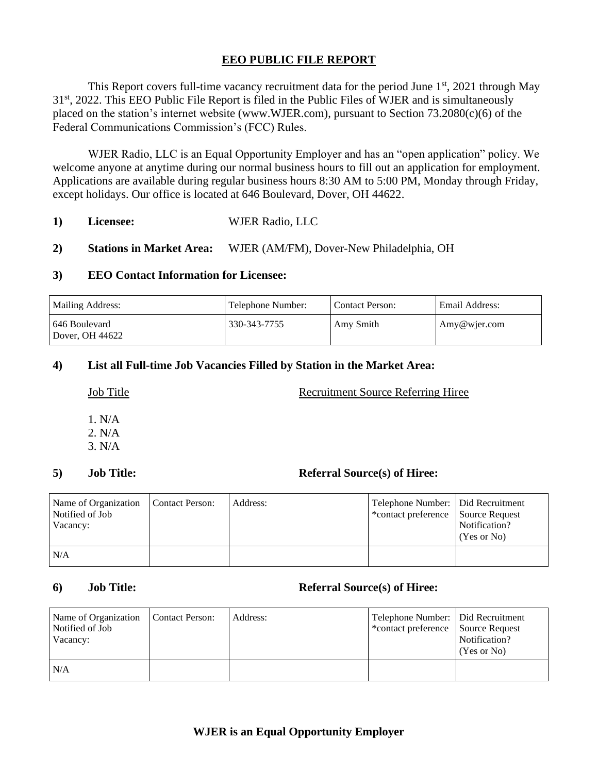# **EEO PUBLIC FILE REPORT**

This Report covers full-time vacancy recruitment data for the period June  $1<sup>st</sup>$ , 2021 through May 31<sup>st</sup>, 2022. This EEO Public File Report is filed in the Public Files of WJER and is simultaneously placed on the station's internet website (www.WJER.com), pursuant to Section 73.2080(c)(6) of the Federal Communications Commission's (FCC) Rules.

WJER Radio, LLC is an Equal Opportunity Employer and has an "open application" policy. We welcome anyone at anytime during our normal business hours to fill out an application for employment. Applications are available during regular business hours 8:30 AM to 5:00 PM, Monday through Friday, except holidays. Our office is located at 646 Boulevard, Dover, OH 44622.

- **1) Licensee:** WJER Radio, LLC
- **2) Stations in Market Area:** WJER (AM/FM), Dover-New Philadelphia, OH

### **3) EEO Contact Information for Licensee:**

| <b>Mailing Address:</b>            | Telephone Number: | <b>Contact Person:</b> | Email Address:        |
|------------------------------------|-------------------|------------------------|-----------------------|
| l 646 Boulevard<br>Dover, OH 44622 | 330-343-7755      | Amy Smith              | $\text{Amy@wier.com}$ |

# **4) List all Full-time Job Vacancies Filled by Station in the Market Area:**

## Job Title Recruitment Source Referring Hiree

1. N/A 2. N/A 3. N/A

# **5) Job Title: Referral Source(s) of Hiree:**

| Name of Organization   Contact Person:<br>Notified of Job<br>Vacancy: | Address: | Telephone Number: Did Recruitment<br>*contact preference Source Request | Notification?<br>(Yes or No) |
|-----------------------------------------------------------------------|----------|-------------------------------------------------------------------------|------------------------------|
| N/A                                                                   |          |                                                                         |                              |

### **6) Job Title: Referral Source(s) of Hiree:**

| Name of Organization<br>Notified of Job<br>Vacancy: | Contact Person: | Address: | Telephone Number:   Did Recruitment<br>*contact preference Source Request | Notification?<br>(Yes or No) |
|-----------------------------------------------------|-----------------|----------|---------------------------------------------------------------------------|------------------------------|
| N/A                                                 |                 |          |                                                                           |                              |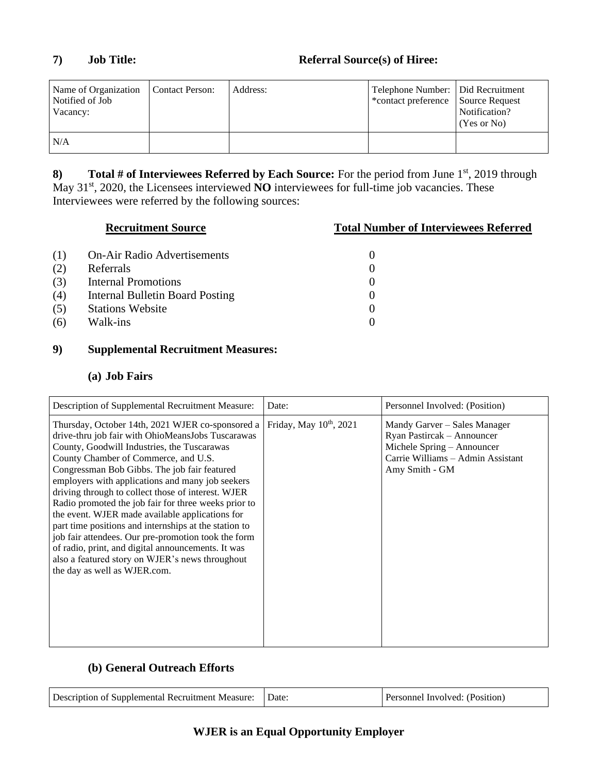| Name of Organization<br>Notified of Job<br>Vacancy: | Contact Person: | Address: | Telephone Number:   Did Recruitment<br>*contact preference Source Request | Notification?<br>(Yes or No) |
|-----------------------------------------------------|-----------------|----------|---------------------------------------------------------------------------|------------------------------|
| N/A                                                 |                 |          |                                                                           |                              |

**8) Total # of Interviewees Referred by Each Source:** For the period from June 1<sup>st</sup>, 2019 through May 31<sup>st</sup>, 2020, the Licensees interviewed **NO** interviewees for full-time job vacancies. These Interviewees were referred by the following sources:

|     | <b>Recruitment Source</b>          | <b>Total Number of Interviewees Referred</b> |
|-----|------------------------------------|----------------------------------------------|
| (1) | <b>On-Air Radio Advertisements</b> | 0                                            |
| (2) | Referrals                          |                                              |
| (3) | <b>Internal Promotions</b>         | $\theta$                                     |
| (4) | Internal Bulletin Board Posting    |                                              |
| (5) | <b>Stations Website</b>            | $\theta$                                     |
| (6) | Walk-ins                           | 0                                            |

# **9) Supplemental Recruitment Measures:**

# **(a) Job Fairs**

| Description of Supplemental Recruitment Measure:                                                                                                                                                                                                                                                                                                                                                                                                                                                                                                                                                                                                                                                                           | Date:                               | Personnel Involved: (Position)                                                                                                                  |
|----------------------------------------------------------------------------------------------------------------------------------------------------------------------------------------------------------------------------------------------------------------------------------------------------------------------------------------------------------------------------------------------------------------------------------------------------------------------------------------------------------------------------------------------------------------------------------------------------------------------------------------------------------------------------------------------------------------------------|-------------------------------------|-------------------------------------------------------------------------------------------------------------------------------------------------|
| Thursday, October 14th, 2021 WJER co-sponsored a<br>drive-thru job fair with OhioMeansJobs Tuscarawas<br>County, Goodwill Industries, the Tuscarawas<br>County Chamber of Commerce, and U.S.<br>Congressman Bob Gibbs. The job fair featured<br>employers with applications and many job seekers<br>driving through to collect those of interest. WJER<br>Radio promoted the job fair for three weeks prior to<br>the event. WJER made available applications for<br>part time positions and internships at the station to<br>job fair attendees. Our pre-promotion took the form<br>of radio, print, and digital announcements. It was<br>also a featured story on WJER's news throughout<br>the day as well as WJER.com. | Friday, May 10 <sup>th</sup> , 2021 | Mandy Garver – Sales Manager<br>Ryan Pastircak - Announcer<br>Michele Spring - Announcer<br>Carrie Williams - Admin Assistant<br>Amy Smith - GM |

# **(b) General Outreach Efforts**

| Description of Supplemental Recruitment Measure: | Date | Personnel Involved: (Position) |
|--------------------------------------------------|------|--------------------------------|
|--------------------------------------------------|------|--------------------------------|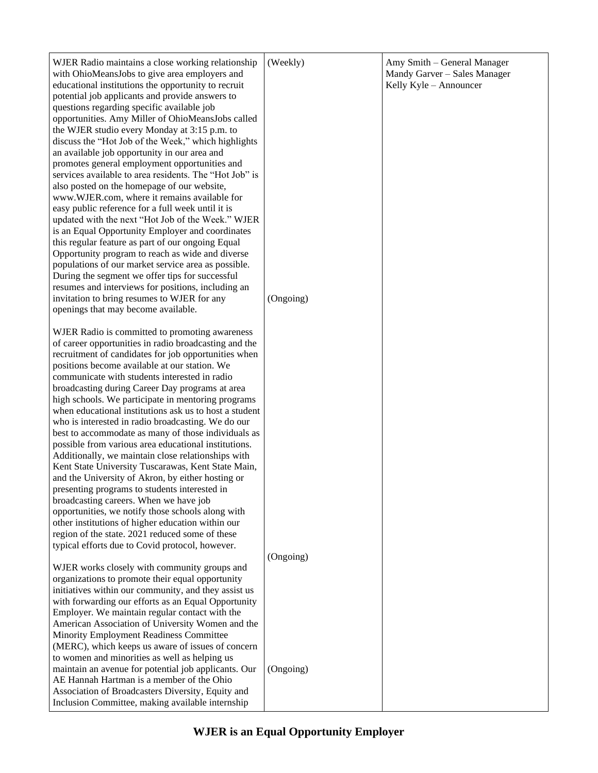| WJER Radio maintains a close working relationship<br>with OhioMeansJobs to give area employers and    | (Weekly)  | Amy Smith - General Manager<br>Mandy Garver - Sales Manager |
|-------------------------------------------------------------------------------------------------------|-----------|-------------------------------------------------------------|
| educational institutions the opportunity to recruit                                                   |           | Kelly Kyle - Announcer                                      |
| potential job applicants and provide answers to                                                       |           |                                                             |
| questions regarding specific available job                                                            |           |                                                             |
| opportunities. Amy Miller of OhioMeansJobs called                                                     |           |                                                             |
| the WJER studio every Monday at 3:15 p.m. to                                                          |           |                                                             |
| discuss the "Hot Job of the Week," which highlights                                                   |           |                                                             |
| an available job opportunity in our area and<br>promotes general employment opportunities and         |           |                                                             |
| services available to area residents. The "Hot Job" is                                                |           |                                                             |
| also posted on the homepage of our website,                                                           |           |                                                             |
| www.WJER.com, where it remains available for                                                          |           |                                                             |
| easy public reference for a full week until it is                                                     |           |                                                             |
| updated with the next "Hot Job of the Week." WJER                                                     |           |                                                             |
| is an Equal Opportunity Employer and coordinates                                                      |           |                                                             |
| this regular feature as part of our ongoing Equal                                                     |           |                                                             |
| Opportunity program to reach as wide and diverse                                                      |           |                                                             |
| populations of our market service area as possible.                                                   |           |                                                             |
| During the segment we offer tips for successful<br>resumes and interviews for positions, including an |           |                                                             |
| invitation to bring resumes to WJER for any                                                           | (Ongoing) |                                                             |
| openings that may become available.                                                                   |           |                                                             |
|                                                                                                       |           |                                                             |
| WJER Radio is committed to promoting awareness                                                        |           |                                                             |
| of career opportunities in radio broadcasting and the                                                 |           |                                                             |
| recruitment of candidates for job opportunities when                                                  |           |                                                             |
| positions become available at our station. We<br>communicate with students interested in radio        |           |                                                             |
| broadcasting during Career Day programs at area                                                       |           |                                                             |
| high schools. We participate in mentoring programs                                                    |           |                                                             |
| when educational institutions ask us to host a student                                                |           |                                                             |
| who is interested in radio broadcasting. We do our                                                    |           |                                                             |
| best to accommodate as many of those individuals as                                                   |           |                                                             |
| possible from various area educational institutions.                                                  |           |                                                             |
| Additionally, we maintain close relationships with                                                    |           |                                                             |
| Kent State University Tuscarawas, Kent State Main,                                                    |           |                                                             |
| and the University of Akron, by either hosting or                                                     |           |                                                             |
| presenting programs to students interested in<br>broadcasting careers. When we have job               |           |                                                             |
| opportunities, we notify those schools along with                                                     |           |                                                             |
| other institutions of higher education within our                                                     |           |                                                             |
| region of the state. 2021 reduced some of these                                                       |           |                                                             |
| typical efforts due to Covid protocol, however.                                                       |           |                                                             |
|                                                                                                       | (Ongoing) |                                                             |
| WJER works closely with community groups and                                                          |           |                                                             |
| organizations to promote their equal opportunity                                                      |           |                                                             |
| initiatives within our community, and they assist us                                                  |           |                                                             |
| with forwarding our efforts as an Equal Opportunity<br>Employer. We maintain regular contact with the |           |                                                             |
| American Association of University Women and the                                                      |           |                                                             |
| Minority Employment Readiness Committee                                                               |           |                                                             |
| (MERC), which keeps us aware of issues of concern                                                     |           |                                                             |
| to women and minorities as well as helping us                                                         |           |                                                             |
| maintain an avenue for potential job applicants. Our                                                  | (Ongoing) |                                                             |
| AE Hannah Hartman is a member of the Ohio                                                             |           |                                                             |
| Association of Broadcasters Diversity, Equity and                                                     |           |                                                             |
| Inclusion Committee, making available internship                                                      |           |                                                             |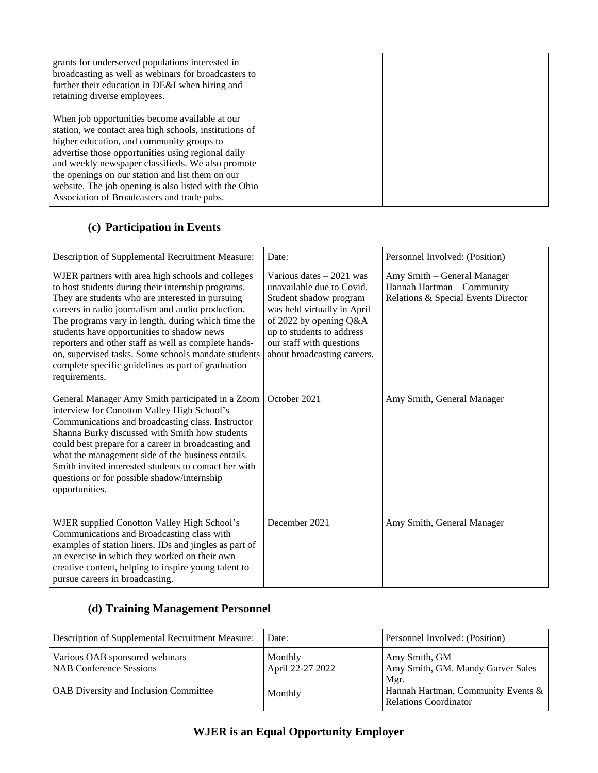| grants for underserved populations interested in<br>broadcasting as well as webinars for broadcasters to<br>further their education in DE&I when hiring and<br>retaining diverse employees.                                                                                                                                                                                                                                  |  |
|------------------------------------------------------------------------------------------------------------------------------------------------------------------------------------------------------------------------------------------------------------------------------------------------------------------------------------------------------------------------------------------------------------------------------|--|
| When job opportunities become available at our<br>station, we contact area high schools, institutions of<br>higher education, and community groups to<br>advertise those opportunities using regional daily<br>and weekly newspaper classifieds. We also promote<br>the openings on our station and list them on our<br>website. The job opening is also listed with the Ohio<br>Association of Broadcasters and trade pubs. |  |

# **(c) Participation in Events**

| Description of Supplemental Recruitment Measure:                                                                                                                                                                                                                                                                                                                                                                                                                                                           | Date:                                                                                                                                                                                                                             | Personnel Involved: (Position)                                                                   |
|------------------------------------------------------------------------------------------------------------------------------------------------------------------------------------------------------------------------------------------------------------------------------------------------------------------------------------------------------------------------------------------------------------------------------------------------------------------------------------------------------------|-----------------------------------------------------------------------------------------------------------------------------------------------------------------------------------------------------------------------------------|--------------------------------------------------------------------------------------------------|
| WJER partners with area high schools and colleges<br>to host students during their internship programs.<br>They are students who are interested in pursuing<br>careers in radio journalism and audio production.<br>The programs vary in length, during which time the<br>students have opportunities to shadow news<br>reporters and other staff as well as complete hands-<br>on, supervised tasks. Some schools mandate students<br>complete specific guidelines as part of graduation<br>requirements. | Various dates $-2021$ was<br>unavailable due to Covid.<br>Student shadow program<br>was held virtually in April<br>of 2022 by opening Q&A<br>up to students to address<br>our staff with questions<br>about broadcasting careers. | Amy Smith – General Manager<br>Hannah Hartman - Community<br>Relations & Special Events Director |
| General Manager Amy Smith participated in a Zoom<br>interview for Conotton Valley High School's<br>Communications and broadcasting class. Instructor<br>Shanna Burky discussed with Smith how students<br>could best prepare for a career in broadcasting and<br>what the management side of the business entails.<br>Smith invited interested students to contact her with<br>questions or for possible shadow/internship<br>opportunities.                                                               | October 2021                                                                                                                                                                                                                      | Amy Smith, General Manager                                                                       |
| WJER supplied Conotton Valley High School's<br>Communications and Broadcasting class with<br>examples of station liners, IDs and jingles as part of<br>an exercise in which they worked on their own<br>creative content, helping to inspire young talent to<br>pursue careers in broadcasting.                                                                                                                                                                                                            | December 2021                                                                                                                                                                                                                     | Amy Smith, General Manager                                                                       |

# **(d) Training Management Personnel**

| Description of Supplemental Recruitment Measure:          | Date:                       | Personnel Involved: (Position)                                     |
|-----------------------------------------------------------|-----------------------------|--------------------------------------------------------------------|
| Various OAB sponsored webinars<br>NAB Conference Sessions | Monthly<br>April 22-27 2022 | Amy Smith, GM<br>Amy Smith, GM. Mandy Garver Sales<br>Mgr.         |
| OAB Diversity and Inclusion Committee                     | Monthly                     | Hannah Hartman, Community Events &<br><b>Relations Coordinator</b> |